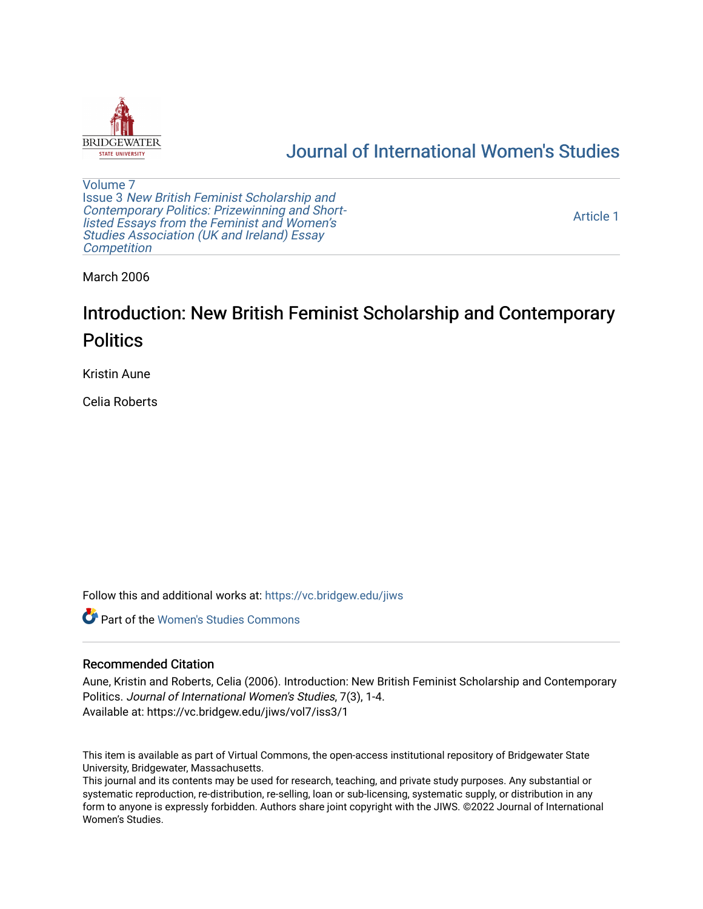

# [Journal of International Women's Studies](https://vc.bridgew.edu/jiws)

[Volume 7](https://vc.bridgew.edu/jiws/vol7) Issue 3 [New British Feminist Scholarship and](https://vc.bridgew.edu/jiws/vol7/iss3)  [Contemporary Politics: Prizewinning and Short](https://vc.bridgew.edu/jiws/vol7/iss3)[listed Essays from the Feminist and Women's](https://vc.bridgew.edu/jiws/vol7/iss3)  [Studies Association \(UK and Ireland\) Essay](https://vc.bridgew.edu/jiws/vol7/iss3)  **Competition** 

[Article 1](https://vc.bridgew.edu/jiws/vol7/iss3/1) 

March 2006

# Introduction: New British Feminist Scholarship and Contemporary **Politics**

Kristin Aune

Celia Roberts

Follow this and additional works at: [https://vc.bridgew.edu/jiws](https://vc.bridgew.edu/jiws?utm_source=vc.bridgew.edu%2Fjiws%2Fvol7%2Fiss3%2F1&utm_medium=PDF&utm_campaign=PDFCoverPages)

**C** Part of the Women's Studies Commons

#### Recommended Citation

Aune, Kristin and Roberts, Celia (2006). Introduction: New British Feminist Scholarship and Contemporary Politics. Journal of International Women's Studies, 7(3), 1-4. Available at: https://vc.bridgew.edu/jiws/vol7/iss3/1

This item is available as part of Virtual Commons, the open-access institutional repository of Bridgewater State University, Bridgewater, Massachusetts.

This journal and its contents may be used for research, teaching, and private study purposes. Any substantial or systematic reproduction, re-distribution, re-selling, loan or sub-licensing, systematic supply, or distribution in any form to anyone is expressly forbidden. Authors share joint copyright with the JIWS. ©2022 Journal of International Women's Studies.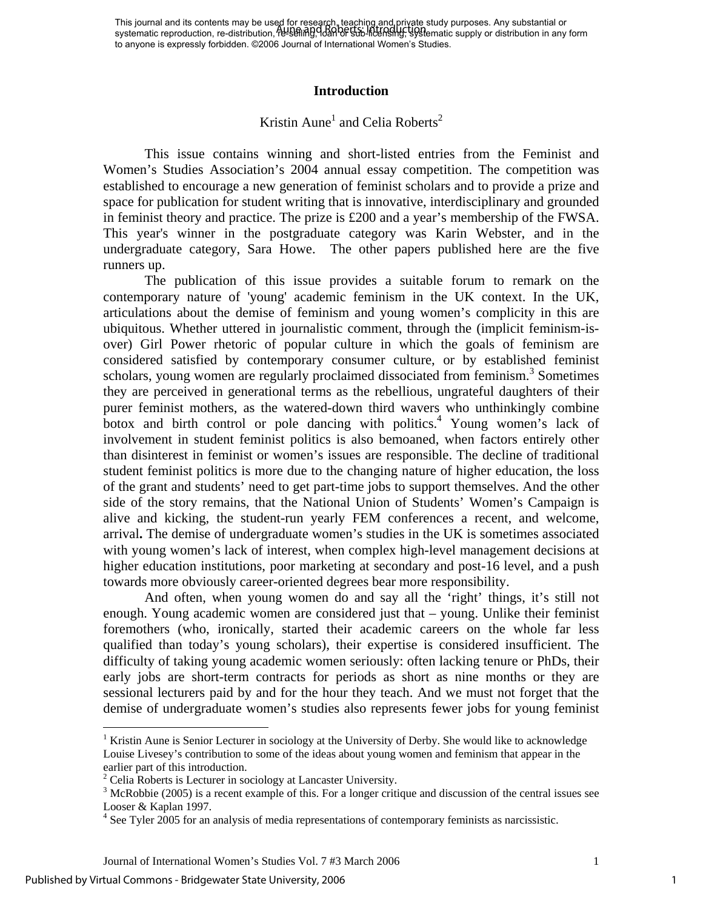This journal and its contents may be used for research, teaching and private study purposes. Any substantial or This journal and its contents may be used for research, reading and private study parposes. Any substantial or<br>systematic reproduction, re-distribution, https://www.https://www.https://www.https://www.https://www.https:// to anyone is expressly forbidden. ©2006 Journal of International Women's Studies.

#### **Introduction**

## Kristin Aune<sup>1</sup> and Celia Roberts<sup>2</sup>

This issue contains winning and short-listed entries from the Feminist and Women's Studies Association's 2004 annual essay competition. The competition was established to encourage a new generation of feminist scholars and to provide a prize and space for publication for student writing that is innovative, interdisciplinary and grounded in feminist theory and practice. The prize is £200 and a year's membership of the FWSA. This year's winner in the postgraduate category was Karin Webster, and in the undergraduate category, Sara Howe. The other papers published here are the five runners up.

The publication of this issue provides a suitable forum to remark on the contemporary nature of 'young' academic feminism in the UK context. In the UK, articulations about the demise of feminism and young women's complicity in this are ubiquitous. Whether uttered in journalistic comment, through the (implicit feminism-isover) Girl Power rhetoric of popular culture in which the goals of feminism are considered satisfied by contemporary consumer culture, or by established feminist scholars, young women are regularly proclaimed dissociated from feminism.<sup>3</sup> Sometimes they are perceived in generational terms as the rebellious, ungrateful daughters of their purer feminist mothers, as the watered-down third wavers who unthinkingly combine botox and birth control or pole dancing with politics.<sup>4</sup> Young women's lack of involvement in student feminist politics is also bemoaned, when factors entirely other than disinterest in feminist or women's issues are responsible. The decline of traditional student feminist politics is more due to the changing nature of higher education, the loss of the grant and students' need to get part-time jobs to support themselves. And the other side of the story remains, that the National Union of Students' Women's Campaign is alive and kicking, the student-run yearly FEM conferences a recent, and welcome, arrival**.** The demise of undergraduate women's studies in the UK is sometimes associated with young women's lack of interest, when complex high-level management decisions at higher education institutions, poor marketing at secondary and post-16 level, and a push towards more obviously career-oriented degrees bear more responsibility.

And often, when young women do and say all the 'right' things, it's still not enough. Young academic women are considered just that – young. Unlike their feminist foremothers (who, ironically, started their academic careers on the whole far less qualified than today's young scholars), their expertise is considered insufficient. The difficulty of taking young academic women seriously: often lacking tenure or PhDs, their early jobs are short-term contracts for periods as short as nine months or they are sessional lecturers paid by and for the hour they teach. And we must not forget that the demise of undergraduate women's studies also represents fewer jobs for young feminist

 $\overline{a}$ 

<sup>&</sup>lt;sup>1</sup> Kristin Aune is Senior Lecturer in sociology at the University of Derby. She would like to acknowledge Louise Livesey's contribution to some of the ideas about young women and feminism that appear in the earlier part of this introduction.

 $2^2$  Celia Roberts is Lecturer in sociology at Lancaster University.

<sup>&</sup>lt;sup>3</sup> McRobbie (2005) is a recent example of this. For a longer critique and discussion of the central issues see Looser & Kaplan 1997.

 $4$  See Tyler 2005 for an analysis of media representations of contemporary feminists as narcissistic.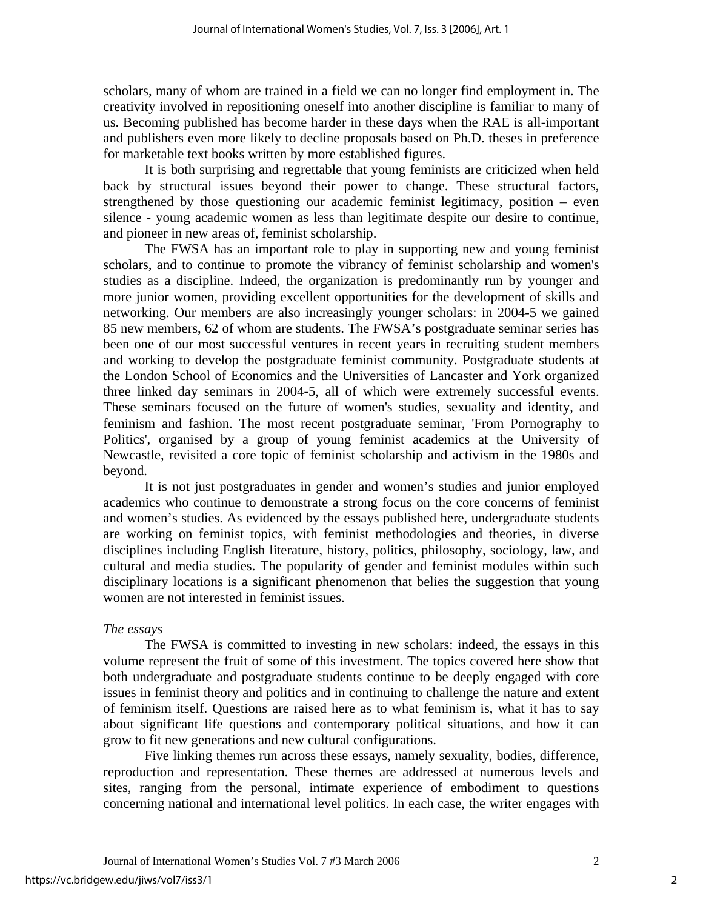scholars, many of whom are trained in a field we can no longer find employment in. The creativity involved in repositioning oneself into another discipline is familiar to many of us. Becoming published has become harder in these days when the RAE is all-important and publishers even more likely to decline proposals based on Ph.D. theses in preference for marketable text books written by more established figures.

It is both surprising and regrettable that young feminists are criticized when held back by structural issues beyond their power to change. These structural factors, strengthened by those questioning our academic feminist legitimacy, position – even silence - young academic women as less than legitimate despite our desire to continue, and pioneer in new areas of, feminist scholarship.

The FWSA has an important role to play in supporting new and young feminist scholars, and to continue to promote the vibrancy of feminist scholarship and women's studies as a discipline. Indeed, the organization is predominantly run by younger and more junior women, providing excellent opportunities for the development of skills and networking. Our members are also increasingly younger scholars: in 2004-5 we gained 85 new members, 62 of whom are students. The FWSA's postgraduate seminar series has been one of our most successful ventures in recent years in recruiting student members and working to develop the postgraduate feminist community. Postgraduate students at the London School of Economics and the Universities of Lancaster and York organized three linked day seminars in 2004-5, all of which were extremely successful events. These seminars focused on the future of women's studies, sexuality and identity, and feminism and fashion. The most recent postgraduate seminar, 'From Pornography to Politics', organised by a group of young feminist academics at the University of Newcastle, revisited a core topic of feminist scholarship and activism in the 1980s and beyond.

It is not just postgraduates in gender and women's studies and junior employed academics who continue to demonstrate a strong focus on the core concerns of feminist and women's studies. As evidenced by the essays published here, undergraduate students are working on feminist topics, with feminist methodologies and theories, in diverse disciplines including English literature, history, politics, philosophy, sociology, law, and cultural and media studies. The popularity of gender and feminist modules within such disciplinary locations is a significant phenomenon that belies the suggestion that young women are not interested in feminist issues.

#### *The essays*

 The FWSA is committed to investing in new scholars: indeed, the essays in this volume represent the fruit of some of this investment. The topics covered here show that both undergraduate and postgraduate students continue to be deeply engaged with core issues in feminist theory and politics and in continuing to challenge the nature and extent of feminism itself. Questions are raised here as to what feminism is, what it has to say about significant life questions and contemporary political situations, and how it can grow to fit new generations and new cultural configurations.

Five linking themes run across these essays, namely sexuality, bodies, difference, reproduction and representation. These themes are addressed at numerous levels and sites, ranging from the personal, intimate experience of embodiment to questions concerning national and international level politics. In each case, the writer engages with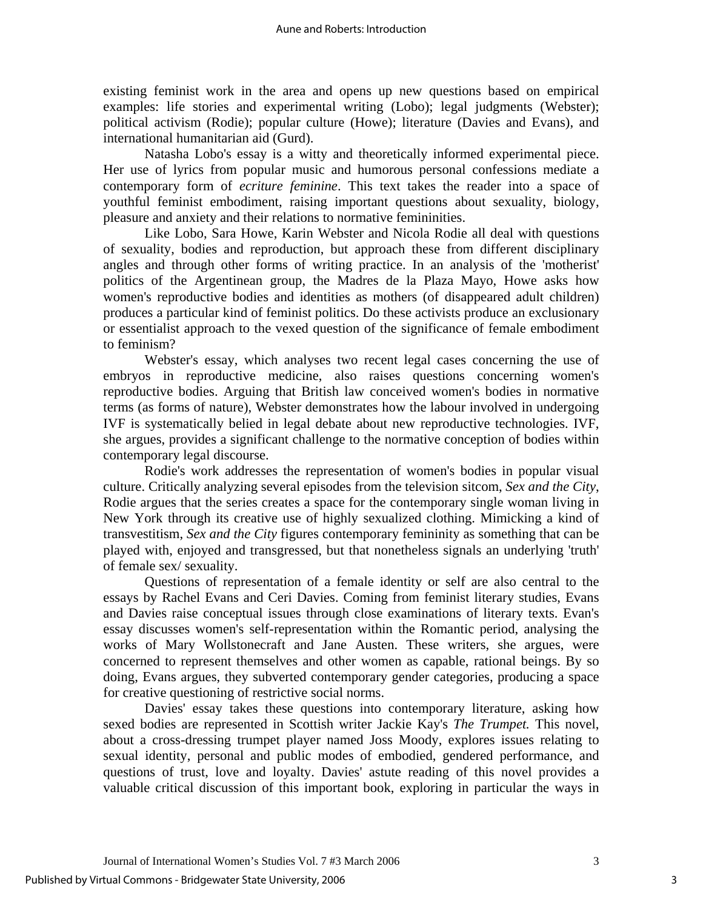existing feminist work in the area and opens up new questions based on empirical examples: life stories and experimental writing (Lobo); legal judgments (Webster); political activism (Rodie); popular culture (Howe); literature (Davies and Evans), and international humanitarian aid (Gurd).

Natasha Lobo's essay is a witty and theoretically informed experimental piece. Her use of lyrics from popular music and humorous personal confessions mediate a contemporary form of *ecriture feminine*. This text takes the reader into a space of youthful feminist embodiment, raising important questions about sexuality, biology, pleasure and anxiety and their relations to normative femininities.

Like Lobo, Sara Howe, Karin Webster and Nicola Rodie all deal with questions of sexuality, bodies and reproduction, but approach these from different disciplinary angles and through other forms of writing practice. In an analysis of the 'motherist' politics of the Argentinean group, the Madres de la Plaza Mayo, Howe asks how women's reproductive bodies and identities as mothers (of disappeared adult children) produces a particular kind of feminist politics. Do these activists produce an exclusionary or essentialist approach to the vexed question of the significance of female embodiment to feminism?

Webster's essay, which analyses two recent legal cases concerning the use of embryos in reproductive medicine, also raises questions concerning women's reproductive bodies. Arguing that British law conceived women's bodies in normative terms (as forms of nature), Webster demonstrates how the labour involved in undergoing IVF is systematically belied in legal debate about new reproductive technologies. IVF, she argues, provides a significant challenge to the normative conception of bodies within contemporary legal discourse.

Rodie's work addresses the representation of women's bodies in popular visual culture. Critically analyzing several episodes from the television sitcom, *Sex and the City*, Rodie argues that the series creates a space for the contemporary single woman living in New York through its creative use of highly sexualized clothing. Mimicking a kind of transvestitism, *Sex and the City* figures contemporary femininity as something that can be played with, enjoyed and transgressed, but that nonetheless signals an underlying 'truth' of female sex/ sexuality.

Questions of representation of a female identity or self are also central to the essays by Rachel Evans and Ceri Davies. Coming from feminist literary studies, Evans and Davies raise conceptual issues through close examinations of literary texts. Evan's essay discusses women's self-representation within the Romantic period, analysing the works of Mary Wollstonecraft and Jane Austen. These writers, she argues, were concerned to represent themselves and other women as capable, rational beings. By so doing, Evans argues, they subverted contemporary gender categories, producing a space for creative questioning of restrictive social norms.

Davies' essay takes these questions into contemporary literature, asking how sexed bodies are represented in Scottish writer Jackie Kay's *The Trumpet.* This novel, about a cross-dressing trumpet player named Joss Moody, explores issues relating to sexual identity, personal and public modes of embodied, gendered performance, and questions of trust, love and loyalty. Davies' astute reading of this novel provides a valuable critical discussion of this important book, exploring in particular the ways in